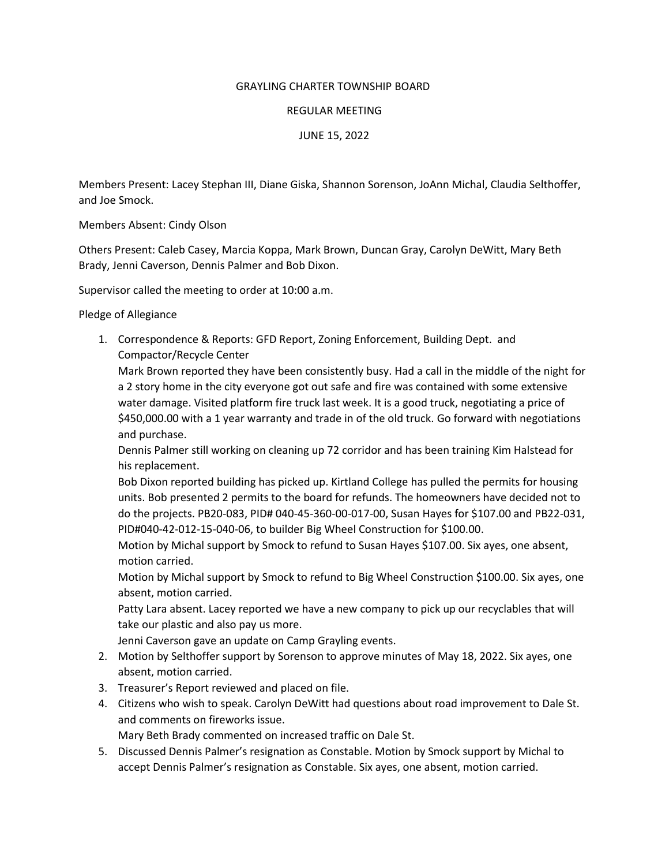## GRAYLING CHARTER TOWNSHIP BOARD

## REGULAR MEETING

JUNE 15, 2022

Members Present: Lacey Stephan III, Diane Giska, Shannon Sorenson, JoAnn Michal, Claudia Selthoffer, and Joe Smock.

Members Absent: Cindy Olson

Others Present: Caleb Casey, Marcia Koppa, Mark Brown, Duncan Gray, Carolyn DeWitt, Mary Beth Brady, Jenni Caverson, Dennis Palmer and Bob Dixon.

Supervisor called the meeting to order at 10:00 a.m.

Pledge of Allegiance

1. Correspondence & Reports: GFD Report, Zoning Enforcement, Building Dept. and Compactor/Recycle Center

Mark Brown reported they have been consistently busy. Had a call in the middle of the night for a 2 story home in the city everyone got out safe and fire was contained with some extensive water damage. Visited platform fire truck last week. It is a good truck, negotiating a price of \$450,000.00 with a 1 year warranty and trade in of the old truck. Go forward with negotiations and purchase.

Dennis Palmer still working on cleaning up 72 corridor and has been training Kim Halstead for his replacement.

Bob Dixon reported building has picked up. Kirtland College has pulled the permits for housing units. Bob presented 2 permits to the board for refunds. The homeowners have decided not to do the projects. PB20-083, PID# 040-45-360-00-017-00, Susan Hayes for \$107.00 and PB22-031, PID#040-42-012-15-040-06, to builder Big Wheel Construction for \$100.00.

Motion by Michal support by Smock to refund to Susan Hayes \$107.00. Six ayes, one absent, motion carried.

Motion by Michal support by Smock to refund to Big Wheel Construction \$100.00. Six ayes, one absent, motion carried.

Patty Lara absent. Lacey reported we have a new company to pick up our recyclables that will take our plastic and also pay us more.

Jenni Caverson gave an update on Camp Grayling events.

- 2. Motion by Selthoffer support by Sorenson to approve minutes of May 18, 2022. Six ayes, one absent, motion carried.
- 3. Treasurer's Report reviewed and placed on file.
- 4. Citizens who wish to speak. Carolyn DeWitt had questions about road improvement to Dale St. and comments on fireworks issue.

Mary Beth Brady commented on increased traffic on Dale St.

5. Discussed Dennis Palmer's resignation as Constable. Motion by Smock support by Michal to accept Dennis Palmer's resignation as Constable. Six ayes, one absent, motion carried.